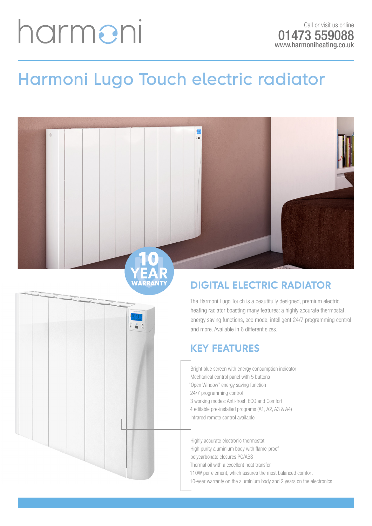# harmeni

### **Harmoni Lugo Touch electric radiator**



WARRANTY

### **DIGITAL ELECTRIC RADIATOR**

The Harmoni Lugo Touch is a beautifully designed, premium electric heating radiator boasting many features: a highly accurate thermostat, energy saving functions, eco mode, intelligent 24/7 programming control and more. Available in 6 different sizes.

#### **KEY FEATURES**

- Bright blue screen with energy consumption indicator
- Mechanical control panel with 5 buttons
- "Open Window" energy saving function
- 24/7 programming control
- 3 working modes: Anti-frost, ECO and Comfort
- 4 editable pre-installed programs (A1, A2, A3 & A4)
- Infrared remote control available

Highly accurate electronic thermostat

- High purity aluminium body with flame-proof
- polycarbonate closures PC/ABS
- Thermal oil with a excellent heat transfer
- 110W per element, which assures the most balanced comfort
- 10-year warranty on the aluminium body and 2 years on the electronics